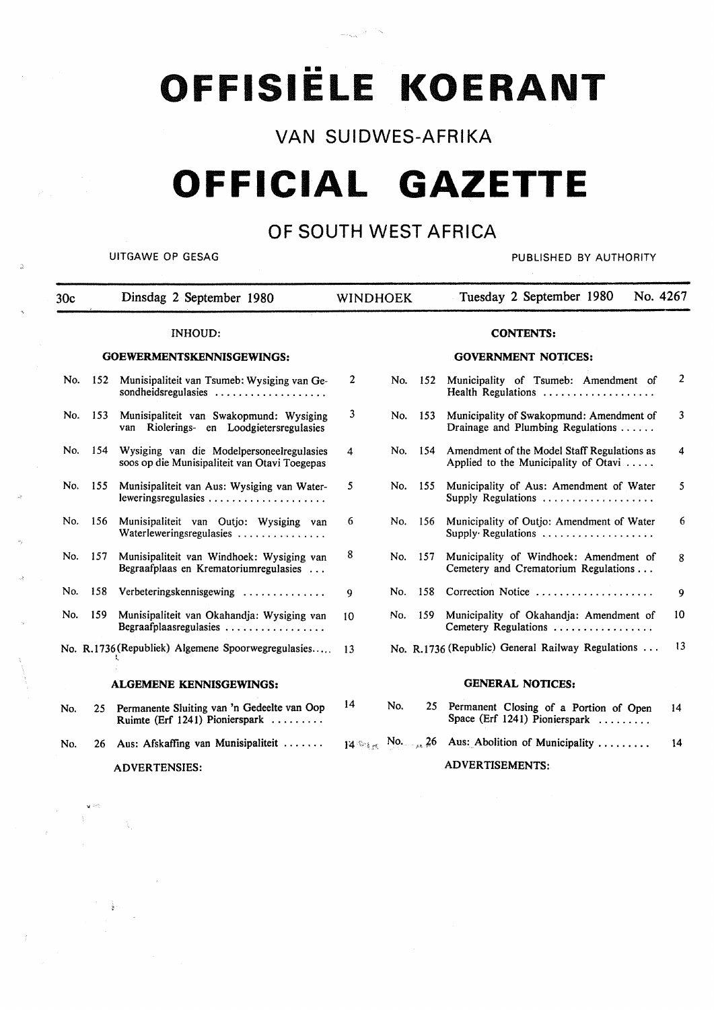# OFFISIËLE KOERANT

**VAN SUIDWES-AFRIKA** 

## **OFFICIAL GAZETTE**

### **OF SOUTH WEST AFRICA**

~

UITGAWE OP GESAG PUBLISHED BY AUTHORITY

 $\mathcal{L}_{\mathrm{eff}}$ 

| 30c |     | Dinsdag 2 September 1980                                                                   | <b>WINDHOEK</b> |     |       | No. 4267<br>Tuesday 2 September 1980                                                |                |
|-----|-----|--------------------------------------------------------------------------------------------|-----------------|-----|-------|-------------------------------------------------------------------------------------|----------------|
|     |     | <b>INHOUD:</b>                                                                             |                 |     |       | <b>CONTENTS:</b>                                                                    |                |
|     |     | GOEWERMENTSKENNISGEWINGS:                                                                  |                 |     |       | <b>GOVERNMENT NOTICES:</b>                                                          |                |
| No. | 152 | Munisipaliteit van Tsumeb: Wysiging van Ge-<br>sondheidsregulasies                         | 2               | No. | - 152 | Municipality of Tsumeb: Amendment of<br>Health Regulations                          | $\overline{2}$ |
| No. | 153 | Munisipaliteit van Swakopmund: Wysiging<br>Riolerings- en Loodgietersregulasies<br>van     | 3               | No. | 153   | Municipality of Swakopmund: Amendment of<br>Drainage and Plumbing Regulations       | 3              |
| No. | 154 | Wysiging van die Modelpersoneelregulasies<br>soos op die Munisipaliteit van Otavi Toegepas | 4               | No. | -154  | Amendment of the Model Staff Regulations as<br>Applied to the Municipality of Otavi | 4              |
| No. | 155 | Munisipaliteit van Aus: Wysiging van Water-<br>leweringsregulasies                         | 5               | No. | - 155 | Municipality of Aus: Amendment of Water<br>Supply Regulations                       | 5.             |
| No. | 156 | Munisipaliteit van Outjo: Wysiging van<br>Waterleweringsregulasies                         | 6               | No. | 156   | Municipality of Outjo: Amendment of Water<br>Supply Regulations                     | 6              |
| No. | 157 | Munisipaliteit van Windhoek: Wysiging van<br>Begraafplaas en Krematoriumregulasies         | 8               | No. | 157   | Municipality of Windhoek: Amendment of<br>Cemetery and Crematorium Regulations      | 8              |
| No. | 158 | Verbeteringskennisgewing                                                                   | 9               | No. | 158   | Correction Notice                                                                   | 9              |
| No. | 159 | Munisipaliteit van Okahandja: Wysiging van<br>Begraafplaasregulasies                       | 10              | No. | 159   | Municipality of Okahandja: Amendment of<br>Cemetery Regulations                     | 10             |
|     |     | No. R.1736 (Republiek) Algemene Spoorwegregulasies                                         | 13              |     |       | No. R.1736 (Republic) General Railway Regulations $\dots$                           | 13             |
|     |     | <b>ALGEMENE KENNISGEWINGS:</b>                                                             |                 |     |       | <b>GENERAL NOTICES:</b>                                                             |                |
| No. | 25. | Permanente Sluiting van 'n Gedeelte van Oop<br>Ruimte (Erf 1241) Pionierspark              | 14              | No. | 25    | Permanent Closing of a Portion of Open<br>Space (Erf 1241) Pionierspark             | 14             |
| No. | 26  | Aus: Afskaffing van Munisipaliteit                                                         |                 |     |       | $14 \otimes_{16}$ No. 26 Aus: Abolition of Municipality                             | 14             |
|     |     | <b>ADVERTENSIES:</b>                                                                       |                 |     |       | <b>ADVERTISEMENTS:</b>                                                              |                |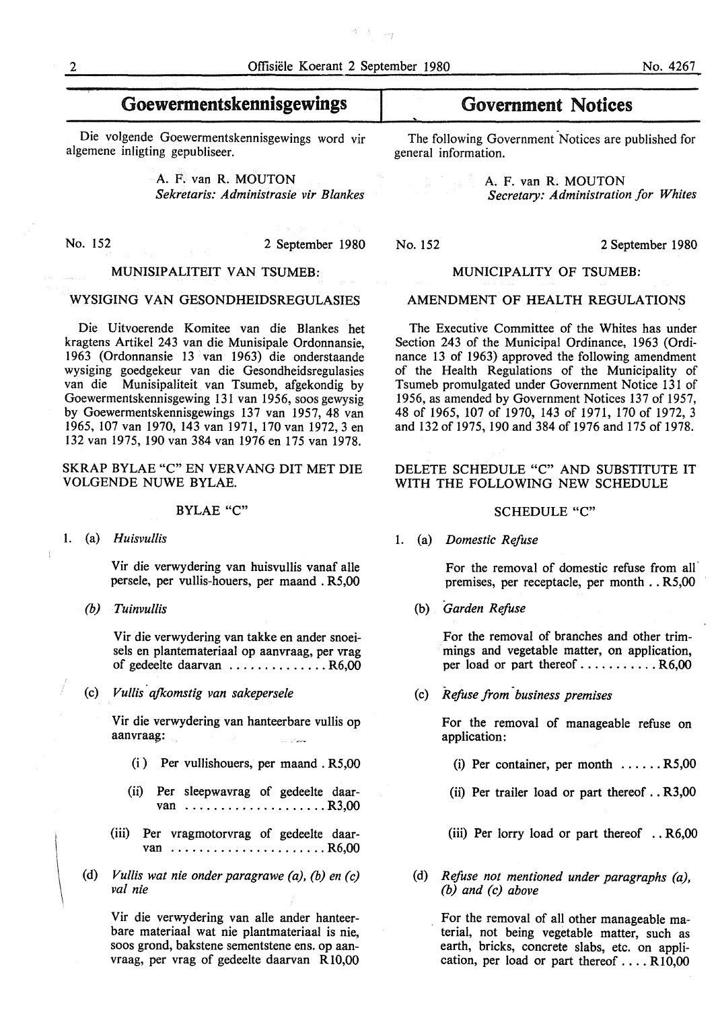$\Delta \equiv \omega_f$ 

**Goewermentskennisgewings** 

Die volgende Goewermentskennisgewings word vir algemene inligting gepubliseer.

> A. F. van R. MOUTON *Sekretaris: Administrasie vir Blankes*

No. 152 2 September 1980

#### MUNISIPALITEIT VAN TSUMEB:

#### WYSIGING VAN GESONDHEIDSREGULASIES

Die Uitvoerende Komitee van die Blankes het kragtens Artikel 243 van die Munisipale Ordonnansie, 1963 (Ordonnansie 13 van 1963) die onderstaande wysiging goedgekeur van die Gesondheidsregulasies van die Munisipaliteit van Tsumeb, afgekondig by Goewermentskennisgewing 131 van 1956, soos gewysig by Goewermentskennisgewings 137 van 1957, 48 van 1965, 107 van 1970, 143 van 1971, 170 van 1972, 3 en 132 van 1975, 190 van 384 van 1976 en 175 van 1978.

#### SKRAP BYLAE "C" EN VERVANG DIT MET DIE VOLGENDE NUWE BYLAE.

#### BYLAE "C"

#### 1. (a) *Huisvullis*

Vir die verwydering van huisvullis vanaf alle persele, per vullis-houers, per maand . R5,00

*(b) Tuinvullis* 

Vir die verwydering van takke en ander snoeisels en plantemateriaal op aanvraag, per vrag of gedeelte daarvan .............. R6,00

(c) *Vullis ajkomstig van sakepersele* 

Vir die verwydering van hanteerbare vullis op aanvraag:

- (i ) Per vullishouers, per maand . R5,00
- (ii) Per sleepwavrag of gedeelte daarvan .................... R3,00
- (iii) Per vragmotorvrag of gedeelte daarvan .........................R6.00
- (d) *Vul/is wat nie onder paragrawe (a), (b) en (c) val nie*

Vir die verwydering van alle ander hanteerbare materiaal wat nie plantmateriaal is nie, soos grond, bakstene sementstene ens. op aanvraag, per vrag of gedeelte daarvan Rl0,00

## Government Notices

The following Government Notices are published for general information.

> A. F. van R. MOUTON *Secretary: Administration for Whites*

#### MUNICIPALITY OF TSUMEB:

#### AMENDMENT OF HEALTH REGULATIONS

The Executive Committee of the Whites has under Section 243 of the Municipal Ordinance, 1963 (Ordinance 13 of 1963) approved the following amendment of the Health Regulations of the Municipality of Tsumeb promulgated under Government Notice 131 of 1956, as amended by Government Notices 137 of 1957, 48 of 1965, 107 of 1970, 143 of 1971, 170 of 1972, 3 and 132 of 1975, 190 and 384 of 1976 and 175 of 1978.

#### DELETE SCHEDULE "C" AND SUBSTITUTE IT WITH THE FOLLOWING NEW SCHEDULE

#### SCHEDULE "C"

1. (a) *Domestic Refuse* 

For the removal of domestic refuse from all premises, per receptacle, per month .. R5,00

(b) *Garden Refuse* 

For the removal of branches and other trimmings and vegetable matter, on application, per load or part thereof ........... R6,00

(c) *Refuse from ·business premises* 

For the removal of manageable refuse on application:

- (i) Per container, per month ...... R5,00
- (ii) Per trailer load or part thereof .. R3,00
- (iii) Per lorry load or part thereof .. R6,00
- (d) *Refuse not mentioned under paragraphs (a), (b) and (c) above*

For the removal of all other manageable material, not being vegetable matter, such as earth, bricks, concrete slabs, etc. on application, per load or part thereof  $\dots$  R10,00

No. 152 2 September 1980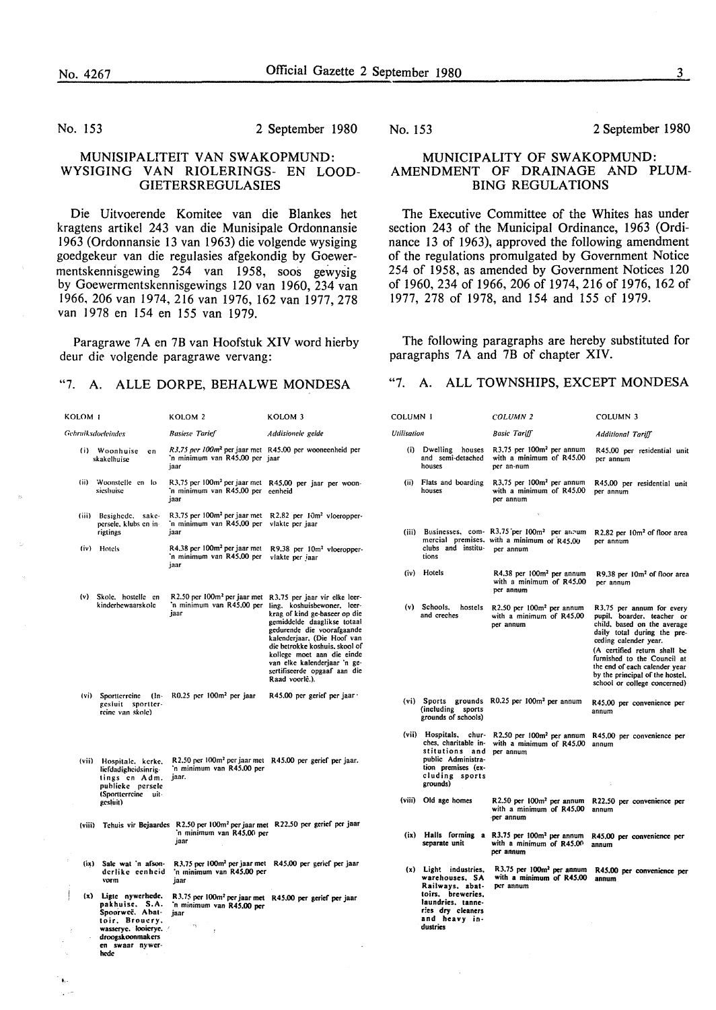.,.

#### No. 153 2 September 1980

#### MUNISIPALITEIT VAN SWAKOPMUND: WYSIGING VAN RIOLERINGS- EN LOOD-GIETERSREGULASIES

Die Uitvoerende Komitee van die Blankes het kragtens artikel 243 van die Munisipale Ordonnansie 1963 (Ordonnansie 13 van 1963) die volgende wysiging goedgekeur van die regulasies afgekondig by Goewermentskennisgewing 254 van 1958, SOOS gewysig by Goewermentskennisgewings 120 van 1960, 234 van 1966, 206 van 1974, 216 van 1976, 162 van 1977, 278 van 1978 en 154 en 155 van 1979.

Paragrawe 7A en 7B van Hoofstuk XIV word hierby deur die volgende paragrawe vervang:

#### "7. A. ALLE DORPE, BEHALWE MONDESA

| KOLOM I            |                                                                                                                                               | KOLOM <sub>2</sub>                                                                                                                   | KOLOM 3                                                                                                                                                                                                                                                                                                                                     |
|--------------------|-----------------------------------------------------------------------------------------------------------------------------------------------|--------------------------------------------------------------------------------------------------------------------------------------|---------------------------------------------------------------------------------------------------------------------------------------------------------------------------------------------------------------------------------------------------------------------------------------------------------------------------------------------|
| Gebruiksdoeleindes |                                                                                                                                               | <b>Basiese Tarief</b>                                                                                                                | Addisionele gelde                                                                                                                                                                                                                                                                                                                           |
| (i)                | Woonhuise<br>en<br>skakelhuise                                                                                                                | R3,75 per 100m <sup>2</sup> per jaar met R45.00 per wooneenheid per<br>'n minimum van R45,00 per jaar<br>jaar                        |                                                                                                                                                                                                                                                                                                                                             |
| (ii)               | Woonstelle en lo<br>sicshuise                                                                                                                 | R3.75 per 100m <sup>2</sup> per jaar met<br>'n minimum van R45,00 per<br>iaar                                                        | R45,00 per jaar per woon-<br>eenheid                                                                                                                                                                                                                                                                                                        |
| (iii)              | Besighede,<br>sake-<br>persele, klubs en in-<br>rigtings                                                                                      | R3.75 per 100m <sup>2</sup> per jaar met<br>'n minimum van R45,00 per<br>jaar                                                        | R2.82 per 10m <sup>2</sup> vloeropper-<br>vlakte per jaar                                                                                                                                                                                                                                                                                   |
| (iv)               | Hotels                                                                                                                                        | R4.38 per 100m <sup>2</sup> per jaar met<br>'n minimum van R45.00 per<br>jaar                                                        | R9.38 per 10m <sup>2</sup> vloeropper-<br>viakte per jaar                                                                                                                                                                                                                                                                                   |
| (v)                | Skole, hostelle en<br>kinderbewaarskole                                                                                                       | R2.50 per 100m <sup>2</sup> per jaar met<br>'n minimum van R45.00 per<br>jaar                                                        | R3.75 per jaar vir elke leer-<br>ling, koshuisbewoner, leer-<br>krag of kind ge-baseer op die<br>gemiddelde daaglikse totaal<br>gedurende die voorafgaande<br>kalenderjaar, (Die Hoof van<br>die betrokke koshuis, skool of<br>kollege moet aan die einde<br>van elke kalenderjaar 'n ge-<br>sertifiseerde opgaaf aan die<br>Raad voorlê.). |
| (vi)               | Sportterreine (In-<br>gesluit<br>sportter-<br>reine van skole)                                                                                | R0.25 per 100m <sup>2</sup> per jaar                                                                                                 | R45.00 per gerief per jaar ·                                                                                                                                                                                                                                                                                                                |
| (vii)              | Hospitale, kerke,<br>liefdadigheidsinrig-<br>lings en Adm.<br>publicke persele<br>(Sportterreine<br>uit-<br>gesluit)                          | R2.50 per 100m <sup>2</sup> per jaar met R45.00 per gerief per jaar.<br>'n minimum van R45,00 per<br>jaar.                           |                                                                                                                                                                                                                                                                                                                                             |
|                    |                                                                                                                                               | (viii) Tehuis vir Bejaardes R2.50 per 100m <sup>2</sup> per jaar met R22.50 per gerief per jaar<br>'n minimum van R45,00 per<br>jaar |                                                                                                                                                                                                                                                                                                                                             |
| (ix)               | Sale wat 'n afson-<br>derlike eenheid<br>vorm                                                                                                 | 'n minimum van R45,00 per<br>jaar                                                                                                    | R3.75 per 100m <sup>2</sup> per jaar met R45.00 per gerief per jaar                                                                                                                                                                                                                                                                         |
| ļ<br>(x)           | Ligte nywerhede.<br>pakhuise. S.A.<br>Spoorweë. Abat-<br>toir, Brouery.<br>wasserye. looierye.<br>droogskoonmakers<br>en swaar nywer-<br>hede | R3.75 per 100m <sup>2</sup> per jaar met<br>'n minimum van R45.00 per<br>jaar<br>75<br>ł                                             | R45.00 per gerief per jaar                                                                                                                                                                                                                                                                                                                  |

#### No. 153 2 September 1980

#### **MUNICIPALITY OF SWAKOPMUND: AMENDMENT OF DRAINAGE AND PLUM-BING REGULATIONS**

The Executive Committee of the Whites has under section 243 of the Municipal Ordinance, 1963 (Ordinance 13 of 1963), approved the following amendment of the regulations promulgated by Government Notice 254 of 1958, as amended by Government Notices 120 of 1960, 234 of 1966, 206 of 1974, 216 of 1976, 162 of 1977, 278 of 1978, and 154 and 155 of 1979.

The following paragraphs are hereby substituted for paragraphs 7A and 7B of chapter XIV.

#### "7. A. ALL TOWNSHIPS, EXCEPT MONDESA

| COLUMN 1    |                                                                                                                                                    | COLUMN <sub>2</sub>                                                                                               | <b>COLUMN 3</b>                                                                                                                                                 |  |
|-------------|----------------------------------------------------------------------------------------------------------------------------------------------------|-------------------------------------------------------------------------------------------------------------------|-----------------------------------------------------------------------------------------------------------------------------------------------------------------|--|
| Utilisation |                                                                                                                                                    | <b>Basic Tariff</b>                                                                                               | Additional Tariff                                                                                                                                               |  |
| (i)         | Dwelling houses<br>and semi-detached<br>houses                                                                                                     | R3.75 per 100m <sup>2</sup> per annum<br>with a minimum of R45,00<br>per an-num                                   | R45,00 per residential unit<br>per annum                                                                                                                        |  |
| (ii)        | Flats and boarding<br>houses                                                                                                                       | R3,75 per 100m <sup>2</sup> per annum<br>with a minimum of R45,00<br>per annum                                    | R45,00 per residential unit<br>per annum                                                                                                                        |  |
| (iii)       | clubs and institu-<br>tions                                                                                                                        | Businesses, com- R3.75 per 100m <sup>2</sup> per annum<br>mercial premises, with a minimum of R45.00<br>per annum | R2.82 per 10m <sup>2</sup> of floor area<br>per annum                                                                                                           |  |
| (iv)        | Hotels                                                                                                                                             | R4.38 per 100m <sup>2</sup> per annum<br>with a minimum of R45,00<br>per annum                                    | R9.38 per 10m <sup>2</sup> of floor area<br>per annum                                                                                                           |  |
|             | (v) Schools,<br>hostels<br>and creches                                                                                                             | R2.50 per 100m <sup>2</sup> per annum<br>with a minimum of R45,00<br>per annum                                    | R3,75 per annum for every<br>pupil, boarder, teacher or<br>child, based on the average<br>daily total during the pre-<br>ceding calender year.                  |  |
|             |                                                                                                                                                    |                                                                                                                   | (A certified return shall be<br>furnished to the Council at<br>the end of each calender year<br>by the principal of the hostel,<br>school or college concerned) |  |
|             | (vi) Sports grounds<br>(including sports<br>grounds of schools)                                                                                    | $R0.25$ per $100m2$ per annum                                                                                     | R45.00 per convenience per<br>annum                                                                                                                             |  |
| (vii)       | Hospitals,<br>chur-<br>ches, charitable in-<br>stitutions and<br>public Administra-<br>tion premises (ex-<br>cluding sports<br>grounds)            | R2.50 per 100m <sup>2</sup> per annum<br>with a minimum of R45.00<br>per annum                                    | R45,00 per convenience per<br>annum<br>÷,                                                                                                                       |  |
|             | (viii) Old age homes                                                                                                                               | R2.50 per 100m <sup>2</sup> per annum<br>with a minimum of R45,00<br>-per annum                                   | R22.50 per convenience per<br>annum                                                                                                                             |  |
|             | separate unit                                                                                                                                      | (ix) Halls forming a R3.75 per 100m <sup>2</sup> per annum<br>with a minimum of R45.00<br>per annum               | R45,00 per convenience per<br>annum                                                                                                                             |  |
| (x)         | Light industries,<br>warehouses. SA<br>Railways, abat-<br>toirs, breweries,<br>laundries, tanne-<br>ries dry cleaners<br>and heavy in-<br>dustries | R3.75 per 100m <sup>2</sup> per annum<br>with a minimum of R45,00<br>per annum                                    | R45.00 per convenience per<br>annum                                                                                                                             |  |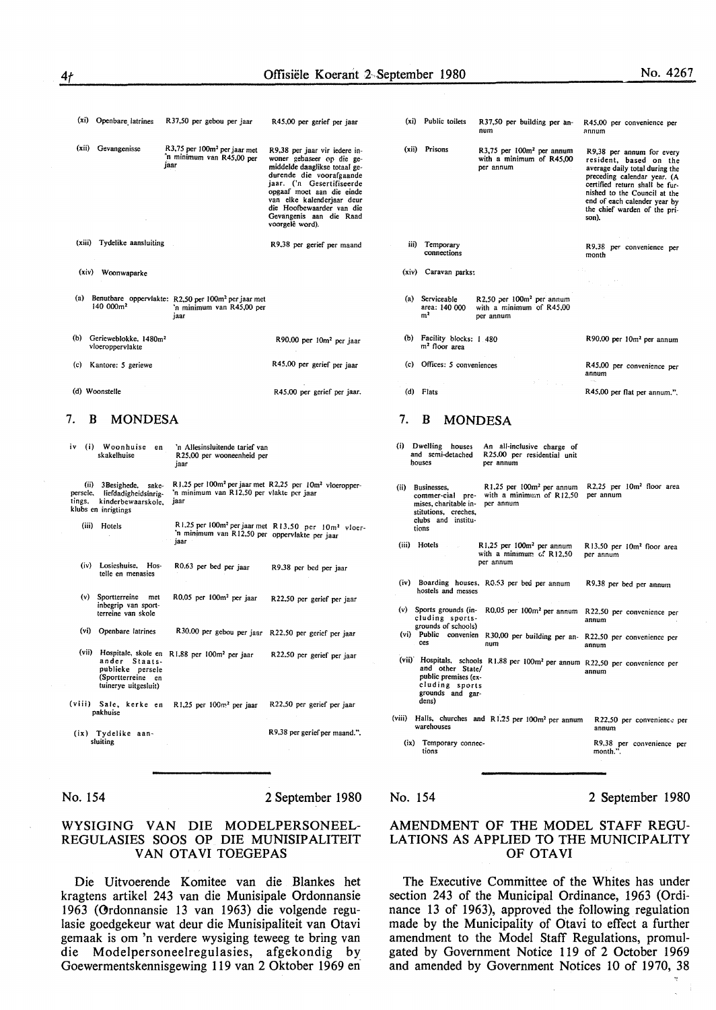| $(x_i)$ | Openbare latrines                                     | R37,50 per gebou per jaar                                                                            | R45,00 per gerief per jaar                                                                                                                                                                                                                                                                 |
|---------|-------------------------------------------------------|------------------------------------------------------------------------------------------------------|--------------------------------------------------------------------------------------------------------------------------------------------------------------------------------------------------------------------------------------------------------------------------------------------|
| (xii)   | Gevangenisse                                          | R3,75 per 100m <sup>2</sup> per jaar met<br>'n minimum van R45,00 per<br>jaar                        | R9,38 per jaar vir iedere in-<br>woner gebaseer op die ge-<br>middelde daaglikse totaal ge-<br>durende die voorafgaande<br>jaar. ('n Gesertifiseerde<br>opgaaf moet aan die einde<br>van elke kalenderjaar deur<br>die Hoofbewaarder van die<br>Gevangenis aan die Raad<br>voorgelê word). |
|         | (xiii) Tydelike aansluiting                           |                                                                                                      | R9,38 per gerief per maand                                                                                                                                                                                                                                                                 |
| (xiv)   | Woonwaparke                                           |                                                                                                      |                                                                                                                                                                                                                                                                                            |
| (a)     | 140 000m <sup>2</sup>                                 | Benutbare oppervlakte: R2,50 per 100m <sup>2</sup> per jaar met<br>'n minimum van R45,00 per<br>jaar |                                                                                                                                                                                                                                                                                            |
| (b)     | Gerieweblokke, 1480m <sup>2</sup><br>vloeroppervlakte |                                                                                                      | R90,00 per 10m <sup>2</sup> per jaar                                                                                                                                                                                                                                                       |
| (c)     | Kantore: 5 geriewe                                    |                                                                                                      | R45,00 per gerief per jaar                                                                                                                                                                                                                                                                 |
|         | (d) Woonstelle                                        |                                                                                                      | R45,00 per gerief per jaar.                                                                                                                                                                                                                                                                |

#### 7. **B MONDESA**

| iv | (i)   | Woonhuise<br>en<br>skakelhuise                                                                             | 'n Allesinsluitende tarief van<br>R25,00 per wooneenheid per<br>jaar                                                                 |                                                                             |
|----|-------|------------------------------------------------------------------------------------------------------------|--------------------------------------------------------------------------------------------------------------------------------------|-----------------------------------------------------------------------------|
|    | (ii)  | 3 Besighede,<br>sake-<br>persele, liefdadigheidsinrig-<br>tings, kinderbewaarskole.<br>klubs en inrigtings | R1.25 per 100m <sup>2</sup> per jaar met R2.25 per 10m <sup>2</sup> vloeropper-<br>'n minimum van R12.50 per vlakte per jaar<br>jaar |                                                                             |
|    | (iii) | Hotels                                                                                                     | 'n minimum van R12,50 per oppervlakte per jaar<br>jaar                                                                               | R1,25 per 100m <sup>2</sup> per jaar met R13,50 per 10m <sup>2</sup> vloer- |
|    | (iv)  | Losieshuise,<br>Hos-<br>telle en menasies                                                                  | R0.63 per bed per jaar                                                                                                               | R9.38 per bed per jaar                                                      |
|    |       | (v) Sportterreine<br>met<br>inbegrip van sport-<br>terreine van skole                                      | R0,05 per 100m <sup>2</sup> per jaar                                                                                                 | R22,50 per gerief per jaar                                                  |
|    |       | (vi) Openbare latrines                                                                                     | R30.00 per gebou per jaar R22.50 per gerief per jaar                                                                                 |                                                                             |
|    | (vii) | ander Staats-<br>publicke persele<br>(Sportterreine en<br>tuinerye uitgesluit)                             | Hospitale, skole en R1,88 per 100m <sup>2</sup> per jaar                                                                             | R22.50 per gerief per jaar                                                  |
|    |       | pakhuise                                                                                                   | (viii) Sale, kerke en R1,25 per 100m <sup>2</sup> per jaar                                                                           | R22,50 per gerief per jaar                                                  |
|    |       | (ix) Tydelike aan-<br>sluiting                                                                             |                                                                                                                                      | R9.38 per gerief per maand.".                                               |
|    |       |                                                                                                            |                                                                                                                                      |                                                                             |

No. 154 2 September 1980

#### WYSIGING VAN DIE MODELPERSONEEL-REGULASIES SOOS OP DIE MUNISIPALITEIT VAN OTAVI TOEGEPAS

Die Uitvoerende Komitee van die Blankes het kragtens artikel 243 van die Munisipale Ordonnansie 1963 (Ordonnansie 13 van 1963) die volgende regulasie goedgekeur wat deur die Munisipaliteit van Otavi gemaak is om 'n verdere wysiging teweeg te bring van die Modelpersoneelregulasies, afgekondig by Goewermentskennisgewing 119 van 2 Oktober 1969 en·

| (xi)    | Public toilets                                                                                                  | R37,50 per building per an-<br>num                                                        | R45,00 per convenience per<br>annum                                                                                                                                                                                                                             |
|---------|-----------------------------------------------------------------------------------------------------------------|-------------------------------------------------------------------------------------------|-----------------------------------------------------------------------------------------------------------------------------------------------------------------------------------------------------------------------------------------------------------------|
| (xii)   | Prisons                                                                                                         | R3,75 per 100m <sup>2</sup> per annum<br>with a minimum of R45,00<br>per annum            | R9,38 per annum for every<br>resident, based on the<br>average daily total during the<br>preceding calendar year. (A<br>certified return shall be fur-<br>nished to the Council at the<br>end of each calender year by<br>the chief warden of the pri-<br>son). |
| iii)    | Temporary<br>connections                                                                                        |                                                                                           | R9,38 per convenience per<br>month                                                                                                                                                                                                                              |
| (xiv)   | Caravan parks:                                                                                                  |                                                                                           |                                                                                                                                                                                                                                                                 |
| (a)     | Serviceable<br>area: 140 000<br>m <sup>2</sup>                                                                  | R2,50 per 100m <sup>2</sup> per annum<br>with a minimum of R45,00<br>per annum            |                                                                                                                                                                                                                                                                 |
| (b)     | Facility blocks: 1 480<br>m <sup>2</sup> floor area                                                             |                                                                                           | R90,00 per 10m <sup>2</sup> per annum                                                                                                                                                                                                                           |
| (c)     | Offices: 5 conveniences                                                                                         |                                                                                           | R45,00 per convenience per<br>annum                                                                                                                                                                                                                             |
| (d)     | Flats                                                                                                           |                                                                                           | R45,00 per flat per annum.".                                                                                                                                                                                                                                    |
| 7.      | В                                                                                                               | <b>MONDESA</b>                                                                            |                                                                                                                                                                                                                                                                 |
| (i)     | Dwelling<br>houses<br>and semi-detached<br>houses                                                               | An all-inclusive charge of<br>R25.00 per residential unit<br>per annum                    |                                                                                                                                                                                                                                                                 |
| (ii)    | Businesses.<br>commer-cial pre-<br>mises, charitable in-<br>stitutions, creches,<br>clubs and institu-<br>tions | R1,25 per 100m <sup>2</sup> per annum<br>with a minimum of R12,50<br>per annum            | R2.25 per 10m <sup>2</sup> floor area<br>per annum                                                                                                                                                                                                              |
| (iii)   | Hotels <b>Exercise</b>                                                                                          | R1,25 per 100m <sup>2</sup> per annum<br>with a minimum of R12,50<br>per annum            | R13.50 per 10m <sup>2</sup> floor area<br>per annum                                                                                                                                                                                                             |
| (iv)    | hostels and messes                                                                                              | Boarding houses, R0.53 per bed per annum                                                  | R9.38 per bed per annum                                                                                                                                                                                                                                         |
| (v)     | Sports grounds (in-<br>cluding sports-<br>grounds of schools)                                                   | R0.05 per 100m <sup>2</sup> per annum                                                     | R22.50 per convenience per<br>annum                                                                                                                                                                                                                             |
| $(v_i)$ | Public<br>convenien<br>ces                                                                                      | R30,00 per building per an-<br>num                                                        | R22,50 per convenience per<br>annum                                                                                                                                                                                                                             |
|         | and other State/<br>public premises (ex-<br>cluding sports<br>grounds and gar-<br>dens)                         | (vii) Hospitals, schools R1.88 per 100m <sup>2</sup> per annum R22.50 per convenience per | annum                                                                                                                                                                                                                                                           |
| (viii)  | warehouses                                                                                                      | Halls, churches and R1.25 per 100m <sup>2</sup> per annum                                 | R22,50 per convenience per<br>annum                                                                                                                                                                                                                             |
| (ix)    | Temporary connec-<br>tions                                                                                      |                                                                                           | R9,38 per convenience per<br>month.".                                                                                                                                                                                                                           |
|         |                                                                                                                 |                                                                                           |                                                                                                                                                                                                                                                                 |

#### No. 154

2 September 1980

#### AMENDMENT OF THE MODEL STAFF REGU-LATIONS AS APPLIED TO THE MUNICIPALITY OF OTAVI

The Executive Committee of the Whites has under section 243 of the Municipal Ordinance, 1963 (Ordinance 13 of 1963), approved the following regulation made by the Municipality of Otavi to effect a further amendment to the Model Staff Regulations, promulgated by Government Notice 119 of 2 October 1969 and amended by Government Notices 10 of 1970, 38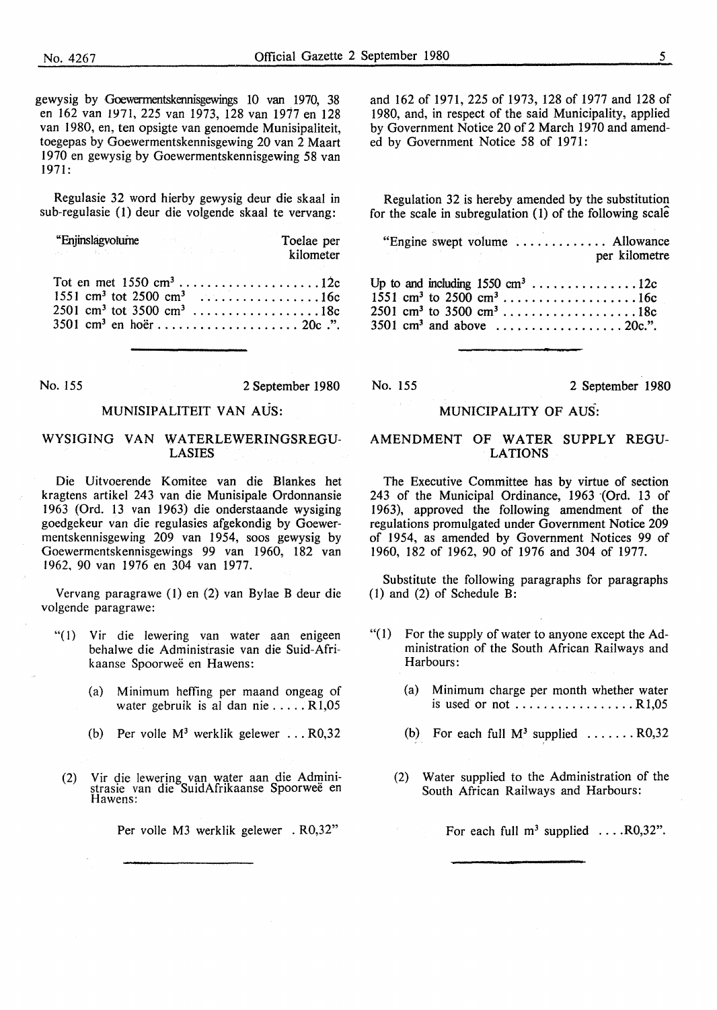gewysig by Goewermentskennisgewings 10 van 1970, 38 en 162 van 1971, 225 van 1973, 128 van 1977 en 128 van 1980, en, ten opsigte van genoemde Munisipaliteit, toegepas by Goewermentskennisgewing 20 van 2 Maart 1970 en gewysig by Goewermentskennisgewing 58 van 1971:

Regulasie 32 word hierby gewysig deur die skaal in sub-regulasie (1) deur die volgende skaal te vervang:

| "Enjinslagvolume" en antaŭra en la forma de la forma de la forma de la forma de la forma de la forma de la forma de la forma de la forma de la forma de la forma de la forma de la forma de la forma de la forma de la forma d | Toelae per<br>kilometer |
|--------------------------------------------------------------------------------------------------------------------------------------------------------------------------------------------------------------------------------|-------------------------|
| Tot en met $1550 \text{ cm}^3 \dots \dots \dots \dots \dots \dots \dots 12c$<br>1551 cm <sup>3</sup> tot 2500 cm <sup>3</sup> 16c<br>$2501$ cm <sup>3</sup> tot 3500 cm <sup>3</sup> 18c                                       |                         |

No. 155 2 September 1980

#### MUNISIPALITEIT VAN AUS:

#### WYSIGING VAN WATERLEWERINGSREGU-**LASIES**

Die Uitvoerende Komitee van die Blankes het kragtens artikel 243 van die Munisipale Ordonnansie 1963 (Ord. 13 van 1963) die onderstaande wysiging goedgekeur van die regulasies afgekondig by Goewermentskennisgewing 209 van 1954, soos gewysig by Goewermentskennisgewings 99 van 1960, 182 van 1962, 90 van 1976 en 304 van 1977.

Vervang paragrawe (I) en (2) van Bylae B deur die volgende paragrawe:

- "(1) Vir die lewering van water aan enigeen behalwe die Administrasie van die Suid-Afrikaanse Spoorweë en Hawens:
	- (a) Minimum heffing per maand ongeag of water gebruik is al dan nie ..... R 1,05
	- (b) Per volle  $M^3$  werklik gelewer ...  $R0,32$
- (2) Vir die lewering van water aan die Administrasie van die SuidAfrikaanse Spoorwee en Hawens:

Per voile M3 werklik gelewer . R0,32"

and 162 of 1971, 225 of 1973, 128 of 1977 and 128 of 1980, and, in respect of the said Municipality, applied by Government Notice 20 of 2 March 1970 and amended by Government Notice 58 of 1971:

Regulation 32 is hereby amended by the substitution for the scale in subregulation (1) of the following scale

"Engine swept volume . . . . . . . . . . . . . Allowance per kilometre

Up to and including  $1550 \text{ cm}^3 \dots \dots \dots \dots \dots 12c$  $1551 \text{ cm}^3 \text{ to } 2500 \text{ cm}^3 \dots \dots \dots \dots \dots \dots \dots 16c$  $2501 \text{ cm}^3 \text{ to } 3500 \text{ cm}^3 \dots \dots \dots \dots \dots \dots \dots 18c$  $3501 \text{ cm}^3$  and above  $\dots \dots \dots \dots \dots \dots 20c$ .".

No. 155 2 September 1980

#### **MUNICIPALITY OF AUS-:**

#### **AMENDMENT** OF **WATER SUPPLY** REGU-**LATIONS**

The Executive Committee has by virtue of section 243 of the Municipal Ordinance, 1963 ·(Ord. 13 of 1963), approved the following amendment of the regulations promulgated under Government Notice 209 of 1954, as amended by Government Notices 99 of 1960, 182 of 1962, 90 of 1976 and 304 of 1977.

Substitute the following paragraphs for paragraphs (1) and (2) of Schedule  $\overline{B}$ :

- "(I) For the supply of water to anyone except the Administration of the South African Railways and Harbours:
	- (a) Minimum charge per month whether water is used or not  $\dots \dots \dots \dots \dots$ . R1,05
	- (b) For each full  $M^3$  supplied  $\ldots \ldots$  R0,32
	- (2) Water supplied to the Administration of the South African Railways and Harbours:

For each full  $m^3$  supplied  $\ldots$  R0,32".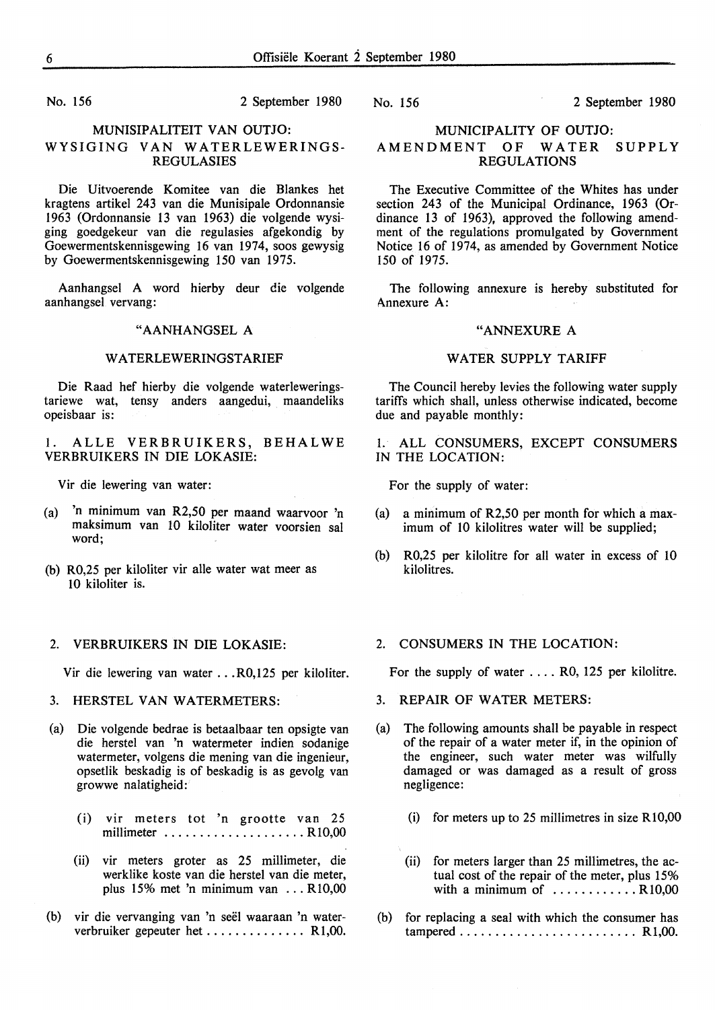#### No. 156 2 September 1980

#### **MUNISIPALITEIT VAN OUTJO: WYSIGING VAN WATERLEWERINGS-REGULASIES**

Die Uitvoerende Komitee van die Blankes het kragtens artikel 243 van die Munisipale Ordonnansie 1963 (Ordonnansie 13 van 1963) die volgende wysiging goedgekeur van die regulasies afgekondig by Goewermentskennisgewing 16 van 1974, soos gewysig by Goewermentskennisgewing 150 van 1975.

Aanhangsel A word hierby deur die volgende aanhangsel vervang:

#### **"AANHANGSEL A**

#### **W ATERLEWERINGSTARIEF**

Die Raad hef hierby die volgende waterleweringstariewe wat, tensy anders aangedui, maandeliks opeisbaar is:

I. ALLE VERBRUIKERS, BEHALWE VERBRUIKERS IN DIE LOKASIE:

Vir die lewering van water:

- (a) 'n minimum van R2,50 per maand waarvoor 'n maksimum van 10 kiloliter water voorsien sat word;
- (b) R0,25 per kiloliter vir alle water wat meer as 10 kiloliter is.

#### 2. VERBRUIKERS IN DIE LOKASIE:

Vir die lewering van water ... R0,125 per kiloliter.

- 3. HERSTEL VAN WATERMETERS:
- (a) Die volgende bedrae is betaalbaar ten opsigte van die herstel van 'n watermeter indien sodanige watermeter, volgens die mening van die ingenieur, opsetlik beskadig is of beskadig is as gevolg van growwe nalatigheid:
	- (i) vir meters tot 'n grootte van 25 millimeter ........................ R10,00
	- (ii) vir meters groter as 25 millimeter, die werklike koste van die herstel van die meter, plus 15% met 'n minimum van ... Rl0,00
- (b) vir die vervanging van 'n seel waaraan 'n waterverbruiker gepeuter het ................ R1,00.

No. 156 2 September 1980

#### MUNICIPALITY OF OUTJO: AMENDMENT OF WATER SUPPLY REGULATIONS

The Executive Committee of the Whites has under section 243 of the Municipal Ordinance, 1963 (Ordinance 13 of 1963), approved the following amendment of the regulations promulgated by Government Notice 16 of 1974, as amended by Government Notice 150 of 1975.

The following annexure is hereby substituted for Annexure A:

#### "ANNEXURE A

#### WATER SUPPLY TARIFF

The Council hereby levies the following water supply tariffs which shall, unless otherwise indicated, become due and payable monthly:

1. ALL CONSUMERS, EXCEPT CONSUMERS IN THE LOCATION:

For the supply of water:

- (a) a minimum of R2,50 per month for which a maximum of 10 kilolitres water will be supplied;
- (b) R0,25 per kilolitre for all water in excess of 10 kilolitres.

#### 2. CONSUMERS IN THE LOCATION:

For the supply of water .... RO, 125 per kilolitre.

- 3. REPAIR OF WATER METERS:
- (a) The following amounts shall be payable in respect of the repair of a water meter if, in the opinion of the engineer, such water meter was wilfully damaged or was damaged as a result of gross negligence:
	- (i) for meters up to 25 millimetres in size  $R10,00$
	- (ii) for meters larger than 25 millimetres, the actual cost of the repair of the meter, plus 15% with a minimum of  $\dots\dots\dots\dots$  R10,00
- (b) for replacing a seal with which the consumer has tampered ......................... Rl,00.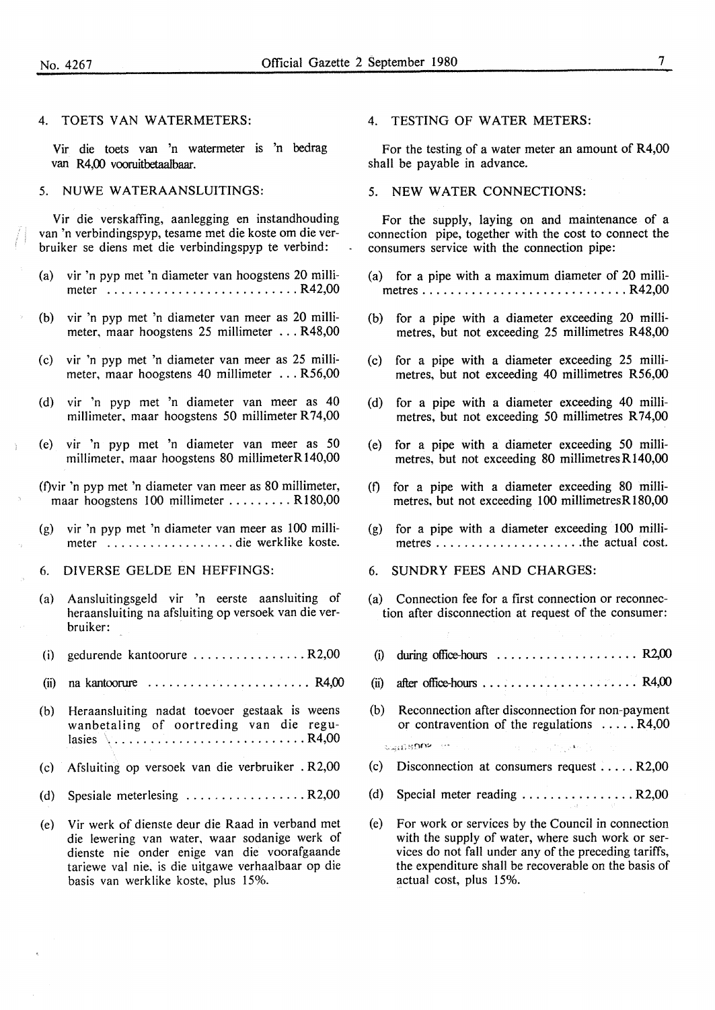#### 4. TOETS VAN WATERMETERS:

Vir die toets van 'n watermeter is 'n bedrag van R4,00 vooruitbetaalbaar.

#### 5. NUWE WATERAANSLUITINGS:

Vir die verskaffing, aanlegging en instandhouding van 'n verbindingspyp, tesame met die koste om die verbruiker se diens met die verbindingspyp te verbind:

- (a) vir 'n pyp met 'n diameter van hoogstens 20 millimeter ........................... R42,00
- (b) vir 'n pyp met 'n diameter van meer as 20 millimeter, maar hoogstens 25 millimeter ... R48,00
- (c) vir 'n pyp met 'n diameter van meer as 25 millimeter, maar hoogstens 40 millimeter ... R56,00
- (d) vir 'n pyp met 'n diameter van meer as 40 millimeter, maar hoogstens 50 millimeter R 74,00
- (e) vir 'n pyp met 'n diameter van meer as 50 millimeter, maar hoogstens 80 millimeterR140,00
- (f)vir 'n pyp met 'n diameter van meer as 80 millimeter, maar hoogstens 100 millimeter ........ R180,00
- $(g)$  vir 'n pyp met 'n diameter van meer as 100 millimeter .................. die werklike koste.
- 6. DIVERSE GELDE EN HEFFINGS:
- (a) Aansluitingsgeld vir 'n eerste aansluiting of heraansluiting na afsluiting op versoek van die verbruiker:
- (i) gedurende kantoorure ................ R2,00
- $(ii)$  na kantoorure  $\ldots \ldots \ldots \ldots \ldots \ldots$  R4,00
- (b) Heraansluiting nadat toevoer gestaak is weens wanbetaling of oortreding van die regulasies ............................ R4,00
- (c) Afsluiting op versoek van die verbruiker . R2,00
- (d) Spesiale meterlesing  $\dots \dots \dots \dots \dots$  R2,00
- (e) Vir werk of dienste deur die Raad in verband met die lewering van water, waar sodanige werk of dienste nie onder enige van die voorafgaande tariewe val nie, is die uitgawe verhaalbaar op die basis van werklike koste, plus 15%.

#### 4. TESTING OF WATER METERS:

For the testing of a water meter an amount of R4,00 shall be payable in advance.

5. NEW WATER CONNECTIONS:

For the supply, laying on and maintenance of a connection pipe, together with the cost to connect the consumers service with the connection pipe:

- (a) for a pipe with a maximum diameter of 20 millimetres ............................. R42,00
- (b) for a pipe with a diameter exceeding 20 millimetres, but not exceeding 25 millimetres R48,00
- ( c) for a pipe with a diameter exceeding 25 millimetres, but not exceeding 40 millimetres R56,00
- (d) for a pipe with a diameter exceeding 40 millimetres, but not exceeding 50 millimetres R74,00
- (e) for a pipe with a diameter exceeding 50 millimetres, but not exceeding 80 millimetres R140,00
- (f) for a pipe with a diameter exceeding 80 millimetres, but not exceeding 100 millimetresR180,00
- (g) for a pipe with a diameter exceeding 100 millimetres ..................... the actual cost.
- 6. SUNDRY FEES AND CHARGES:
- (a) Connection fee for a first connection or reconnection after disconnection at request of the consumer:
- (i) during office-hours  $\dots \dots \dots \dots \dots \dots$  . R2,00
- (ii) after office-hours  $\dots \dots \dots \dots \dots \dots$  . R4,00
- (b) Reconnection after disconnection for non-payment or contravention of the regulations ..... R4,00

uganspower-

- (c) Disconnection at consumers request  $\dots$  R2,00
- (d) Special meter reading ................ R2,00
- (e) For work or services by the Council in connection with the supply of water, where such work or services do not fall under any of the preceding tariffs, the expenditure shall be recoverable on the basis of actual cost, plus 15%.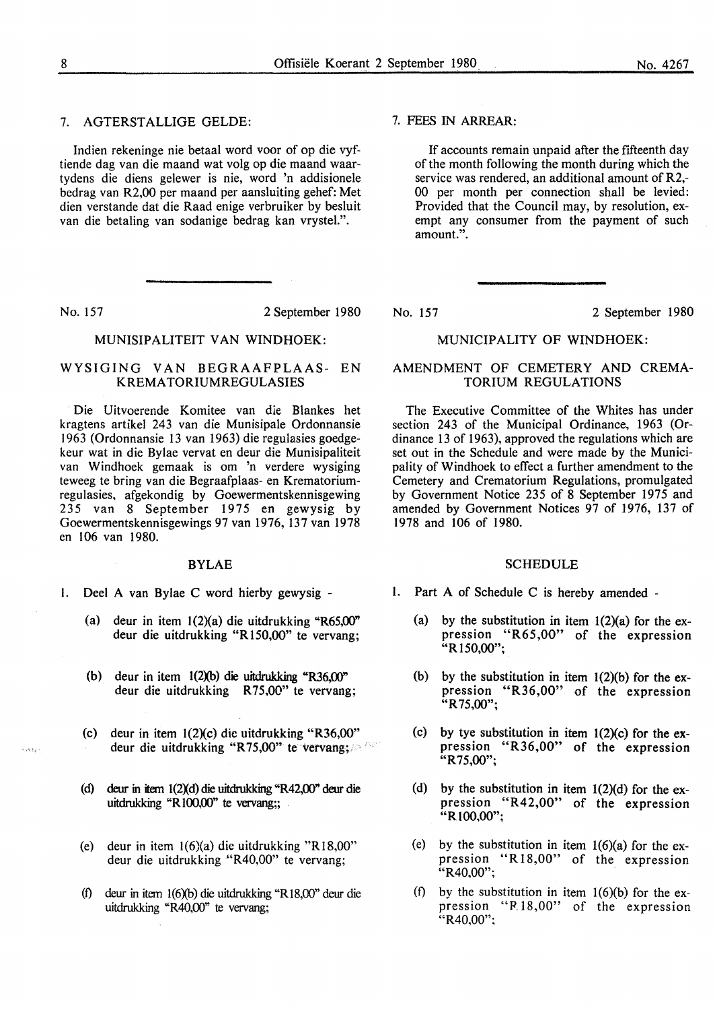#### 7. AGTERSTALLIGE GELDE:

Indien rekeninge nie betaal word voor of op die vyftiende dag van die maand wat volg op die maand waartydens die diens gelewer is nie, word 'n addisionele bedrag van R2,00 per maand per aansluiting gehef: Met dien verstande dat die Raad enige verbruiker by besluit van die betaling van sodanige bedrag kan vrystel.".

waste.

No. 157 2 September 1980

#### MUNISIPALITEIT VAN WINDHOEK:

#### WYSIGING VAN BEGRAAFPLAAS- EN KREMA TORIUMREGULASIES

Die Uitvoerende Komitee van die Blankes het kragtens artikel 243 van die Munisipale Ordonnansie 1963 (Ordonnansie 13 van 1963) die regulasies goedgekeur wat in die Bylae vervat en deur die Munisipaliteit van Windhoek gemaak is om 'n verdere wysiging teweeg te bring van die Begraafplaas- en Krematoriumregulasies, afgekondig by Goewermentskennisgewing 235 van 8 September 1975 en gewysig by Goewermentskennisgewings 97 van 1976, 137 van 1978 en 106 van 1980.

#### BYLAE

- I. Deel A van Bylae C word hierby gewysig
	- (a) deur in item 1(2)(a) die uitdrukking "R65,00" deur die uitdrukking **"R** 150,00" te vervang;
	- (b) deur in item 1(2Xb) die uitdrukking "R36,00" deur die uitdrukking **R** 75,00" te vervang;
	- (c) deur in item  $1(2)(c)$  die uitdrukking "R36,00" deur die uitdrukking "R75,00" te vervang;.
	- (d) deur in item 1(2Xd) die uitdrukking "R42,00" deur die uitdrukking "R100,00" te vervang;;
	- (e) deur in item 1(6)(a) die uitdrukking "Rl8,00" deur die uitdrukking "R40,00" te vervang;
	- (f) deur in item 1(6Xb) die uitdrukking "Rl8,00" deur die uitdrukking "R40,00" te vervang;

#### 7. FEES IN **ARREAR:**

If accounts remain unpaid after the fifteenth day of the month following the month during which the service was rendered, an additional amount of R2,- 00 per month per connection shall be levied: Provided that the Council may, by resolution, exempt any consumer from the payment of such amount.".

No. 157 2 September 1980

#### MUNICIPALITY OF WINDHOEK:

#### AMENDMENT OF CEMETERY AND CREMA-TORIUM REGULATIONS

The Executive Committee of the Whites has under section 243 of the Municipal Ordinance, 1963 (Ordinance 13 of 1963), approved the regulations which are set out in the Schedule and were made by the Municipality of Windhoek to effect a further amendment to the Cemetery and Crematorium Regulations, promulgated by Government Notice 235 of 8 September 1975 and amended by Government Notices 97 of 1976, 137 of 1978 and 106 of 1980.

#### **SCHEDULE**

- I. Part A of Schedule C is hereby amended
	- (a) by the substitution in item  $1(2)(a)$  for the expression "R65,00" of the expression **"Rl50,00";**
	- (b) by the substitution in item  $1(2)(b)$  for the expression "R36,00" of the expression "R 75,00";
	- (c) by tye substitution in item  $1(2)(c)$  for the expression "R36,00" of the expression **"R** 75,00";
	- (d) by the substitution in item  $1(2)(d)$  for the expression "R42,00" of the expression "R100,00":
	- (e) by the substitution in item  $1(6)(a)$  for the expression "R18,00" of the expression "R40,00":
	- (f) by the substitution in item  $1(6)(b)$  for the expression "F<sub>18</sub>,00" of the expression "R40,00";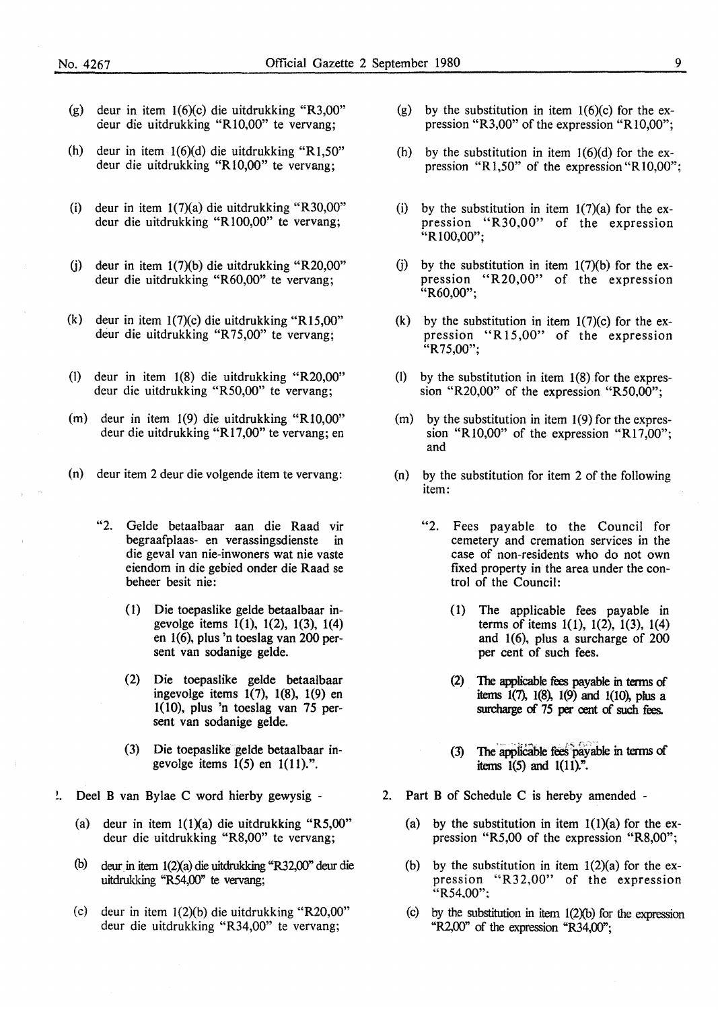- (g) deur in item 1(6)(c) die uitdrukking "R3,00" deur die uitdrukking "R10,00" te vervang;
- (h) deur in item 1(6)(d) die uitdrukking "Rl,50" deur die uitdrukking "R 10,00" te vervang;
- (i) deur in item 1(7)(a) die uitdrukking "R30,00" deur die uitdrukking "Rl00,00" te vervang;
- (j) deur in item 1(7)(b) die uitdrukking "R20,00" deur die uitdrukking "R60,00" te vervang;
- (k) deur in item  $1(7)(c)$  die uitdrukking "R15,00" deur die uitdrukking "R75,00" te vervang;
- (l) deur in item 1(8) die uitdrukking "R20,00" deur die uitdrukking "RS0,00" te vervang;
- (m) deur in item 1(9) die uitdrukking "RI0,00" deur die uitdrukking "Rl 7,00" te vervang; en
- (n) deur item 2 deur die volgende item te vervang:
	- "2. Gelde betaalbaar aan die Raad vir begraafplaas- en verassingsdienste in die geval van nie-inwoners wat nie vaste eiendom in die gebied onder die Raad se beheer besit nie:
		- ( l) Die toepaslike gelde betaalbaar ingevolge items 1(1), 1(2), 1(3), 1(4) en 1(6), plus 'n toeslag van 200 persent van sodanige gelde.
		- (2) Die toepaslike gelde betaalbaar ingevolge items 1(7), 1(8), 1(9) en 1(10), plus 'n toeslag van 75 persent van sodanige gelde.
		- (3) Die toepaslike gelde betaalbaar ingevolge items  $1(5)$  en  $1(11)$ .".
- Deel B van Bylae C word hierby gewysig ÷.
	- (a) deur in item l(l)(a) die uitdrukking "R5,00" deur die uitdrukking "R8,00" te vervang;
	- (b) deur in item 1(2Xa) die uitdrukking "R32,00" deur die uitdrukking "R54,00" te vervang;
	- (c) deur in item 1(2)(b) die uitdrukking "R20,00" deur die uitdrukking "R34,00" te vervang;
- (g) by the substitution in item  $1(6)(c)$  for the expression "R3,00" of the expression "R 10,00";
- (h) by the substitution in item  $1(6)(d)$  for the expression "R1,50" of the expression "R10,00";
- (i) by the substitution in item  $1(7)(a)$  for the expression "R30,00" of the expression "Rl00,00";
- (j) by the substitution in item  $1(7)(b)$  for the expression "R20,00" of the expression "R60,00";
- (k) by the substitution in item  $1(7)(c)$  for the expression "R15,00" of the expression "R 75,00";
- (I) by the substitution in item  $1(8)$  for the expression "R20,00" of the expression "RS0,00";
- $(m)$  by the substitution in item  $1(9)$  for the expression "R10,00" of the expression "R17,00"; and
- (n) by the substitution for item 2 of the following item:
	- "2. Fees payable to the Council for cemetery and cremation services in the case of non-residents who do not own fixed property in the area under the control of the Council:
		- (1) The applicable fees payable in terms of items  $1(1)$ ,  $1(2)$ ,  $1(3)$ ,  $1(4)$ and 1(6), plus a surcharge of 200 per cent of such fees.
		- (2) The applicable fees payable in terms of items 1(7), 1(8), 1(9) and 1(10), plus a surcharge of 75 per cent of such fees.
		- (3) The applicable fees payable in terms of items  $1(5)$  and  $1(11)^n$ .
- 2. Part B of Schedule C is hereby amended
	- (a) by the substitution in item  $1(1)(a)$  for the expression "RS,00 of the expression "R8,00";
	- (b) by the substitution in item  $1(2)(a)$  for the expression "R32,00" of the expression "R54.00":
	- (c) by the substitution in item  $1(2)(b)$  for the expression " $R2,00$ " of the expression " $R34,00$ ";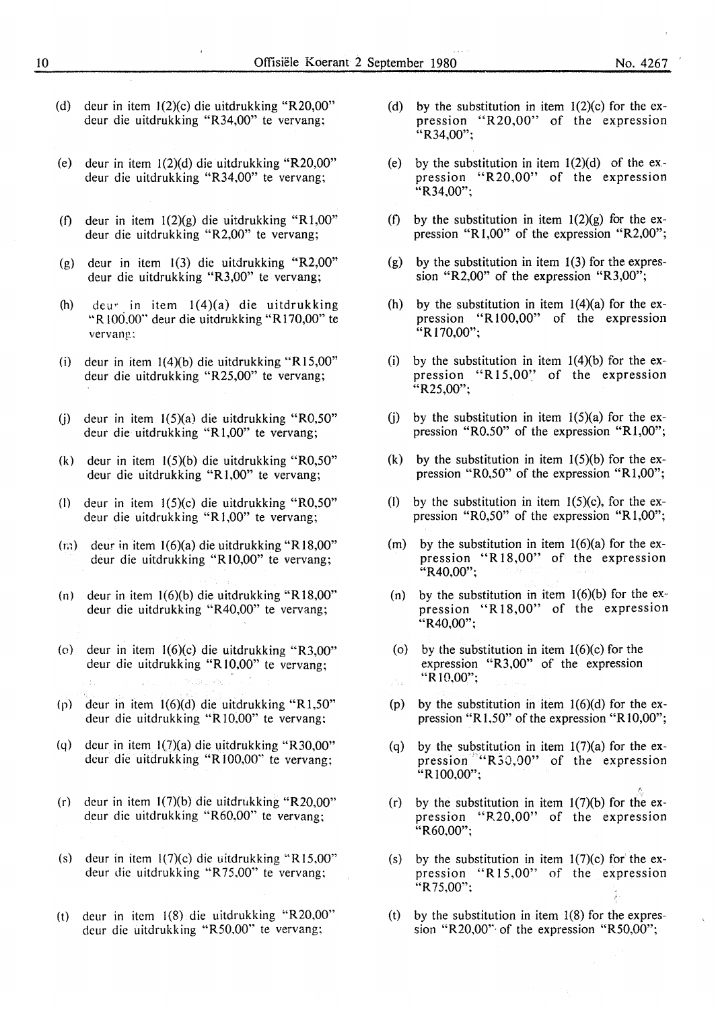- (d) deur in item  $1(2)(c)$  die uitdrukking "R20,00" deur die uitdrukking "R34,00" te vervang;
- (e) deur in item  $1(2)(d)$  die uitdrukking "R20,00" deur die uitdrukking "R34,00" te vervang;
- (f) deur in item  $1(2)(g)$  die uitdrukking "R1,00" deur die uitdrukking "R2,00" te vervang;
- (g) deur in item  $1(3)$  die uitdrukking "R2,00" deur die uitdrukking "R3,00" te vervang;
- (h) dew in item 1(4)(a) die uitdrukking "R 100.00" deur die uitdrukking "R 170,00" te vervang:
- (i) deur in item  $1(4)(b)$  die uitdrukking "R15,00" deur die uitdrukking "R25,00" te vervang;
- (i) deur in item  $1(5)(a)$  die uitdrukking "R0,50" deur die uitdrukking "R 1,00" te vervang;
- (k) deur in item 1(5)(b) die uitdrukking "R0,50" deur die uitdrukking **"R** 1,00" te vervang;
- (I) deur in item 1(5)(c) die uitdrukking "R0,50" dcur die uitdrukking "R 1,00" te vervang;
- $(r<sub>i</sub>)$  deur in item 1(6)(a) die uitdrukking "R18,00" deur die uitdrukking **"R** 10,00" te vervang;
- (n) deur in item  $1(6)(b)$  die uitdrukking "R18,00" deur die uitdrukking "R40,00" te vervang;
- (o) deur in item 1(6)(c) die uitdrukking "R3,00" deur die uitdrukking **"R** 10,00" te vervang;
- (p) dcur in item 1(6)(d) die uitdrukking "Rl,50" deur die uitdrukking **"R** 10,00" te vervang;
- (q) deur in item  $1(7)(a)$  die uitdrukking "R30,00" deur die uitdrukking **"R** 100,00'' te vervang;
- (r) dcur in item 1(7)(b) die uitdrukking "R20,00" deur die uitdrukking "R60,00" te vervang;
- (s) deur in item  $1(7)(c)$  die uitdrukking "R15,00" deur die uitdrukking "R 75,00" te vervang;
- (t) deur in item 1(8) die uitdrukking "R20,00" deur die uitdrukking "R50,00" te vervang;
- (d) by the substitution in item  $1(2)(c)$  for the expression "R20,00" of the expression  $\cdot$  R34,00";
- (e) by the substitution in item  $1(2)(d)$  of the ex.pression "R20,00" of the expression "R34,00":
- (f) by the substitution in item  $1(2)(g)$  for the expression "R 1,00" of the expression "R2,00";
- (g) by the substitution in item  $1(3)$  for the expression "R2,00" of the expression "R3,00";
- (h) by the substitution in item  $1(4)(a)$  for the expression "R 100,00" of the expression "R170,00";
- (i) by the substitution in item  $1(4)(b)$  for the expression "R15,00" of the expression  $^{24}$ R25,00":
- (i) by the substitution in item  $1(5)(a)$  for the expression "R0.50" of the expression "R1,00";
- (k) by the substitution in item  $1(5)(b)$  for the expression "R0,50" of the expression "R1,00";
- (I) by the substitution in item  $1(5)(c)$ , for the expression "R0,50" of the expression "R1,00";
- (m) by the substitution in item  $1(6)(a)$  for the expression "R18,00" of the expression  $^{14}R40,00"$ ;
- (n) by the substitution in item  $1(6)(b)$  for the expression "R 18,00" of the expression  $"R40,00"$ ;
- (o) by the substitution in item  $1(6)(c)$  for the expression "R3,00" of the expression "R 10,00";
- (p) by the substitution in item  $1(6)(d)$  for the expression "R 1,50" of the expression "R 10,00";
- (q) by the substitution in item  $1(7)(a)$  for the expression ""R30,00" of the expression "R100,00";

f,

- (r) by the substitution in item  $1(7)(b)$  for the expression "R20,00" of the expression "R60,00";
- (s) by the substitution in item  $1(7)(c)$  for the expression "R15,00" of the expression  $"R75,00"$ ;
- (t) by the substitution in item  $1(8)$  for the expression "R20,00" of the expression "R50,00";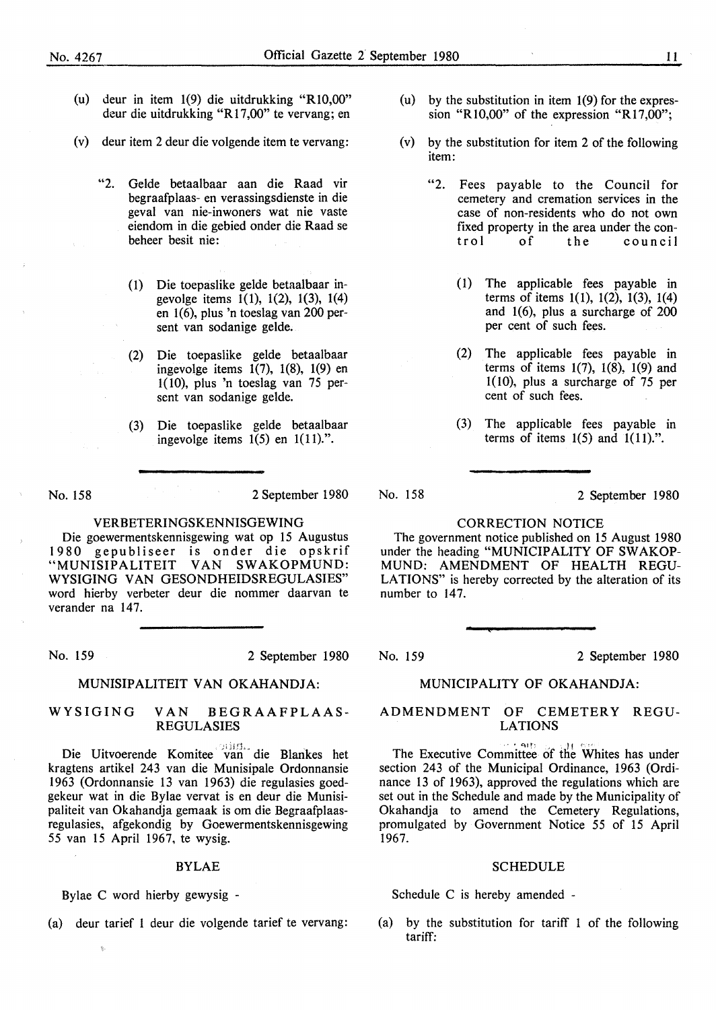- (u) deur in item 1(9) die uitdrukking "Rl0,00" deur die uitdrukking "R 17,00" te vervang; en
- (v) deur item 2 deur die volgende item te vervang:
	- "2. Gelde betaalbaar aan die Raad vir begraafplaas- en verassingsdienste in die geval van nie-inwoners wat nie vaste eiendom in die gebied onder die Raad se beheer besit nie:
		- ( 1) Die toepaslike gelde betaalbaar ingevolge items 1(1), 1(2), 1(3), 1(4) en 1(6), plus 'n toeslag van 200 persent van sodanige gelde.
		- (2) Die toepaslike gelde betaalbaar ingevolge items 1(7), 1(8), 1(9) en 1(10), plus 'n toeslag van 75 persent van sodanige gelde.
		- (3) Die toepaslike gelde betaalbaar ingevolge items 1(5) en 1(11).".

No. 158

2 September 1980

#### VERBETERINGSKENNISGEWING

Die goewermentskennisgewing wat op 15 Augustus 1980 gepubliseer is onder die opskrif "MUNISIPALITEIT VAN SWAKOPMUND: WYSIGING VAN GESONDHEIDSREGULASIES" word hierby verbeter deur die nommer daarvan te verander na 147.

No. 159 2 September 1980

#### **MUNISIPALITEIT VAN OKAHANDJA:**

#### **WYSIGING VAN BEGRAAFPLAAS-REGULASIES**

Die Uitvoerende Komitee van die Blankes het kragtens artikel 243 van die Munisipale Ordonnansie 1963 (Ordonnansie 13 van 1963) die regulasies goedgekeur wat in die Bylae vervat is en deur die Munisipaliteit van Okahandia gemaak is om die Begraafplaasregulasies, afgekondig by Goewermentskennisgewing 55 van 15 April 1967, te wysig.

#### **BYLAE**

Bylae C word hierby gewysig -

(a) deur tarief 1 deur die volgende tarief te vervang:

- (u) by the substitution in item 1(9) for the expression "R10,00" of the expression "R17,00";
- (v) by the substitution for item 2 of the following item:
	- "2. Fees payable to the Council for cemetery and cremation services in the case of non-residents who do not own fixed property in the area under the con-<br>trol of the council of the council
		- (1) The applicable fees payable in terms of items 1(1), 1(2), 1(3), 1(4) and 1(6), plus a surcharge of 200 per cent of such fees.
		- (2) The applicable fees payable in terms of items 1(7), 1(8), 1(9) and 1(10), plus a surcharge of 75 per cent of such fees.
		- (3) The applicable fees payable in terms of items  $1(5)$  and  $1(11)$ .".

No. 158

2 September 1980

#### **CORRECTION NOTICE**

The government notice published on 15 August 1980 under the heading "MUNICIPALITY OF SW AKOP-**MUND: AMENDMENT OF HEALTH REGU-**LATIONS" is hereby corrected by the alteration of its number to 147.

No. 159 2 September 1980

#### **MUNICIPALITY OF OKAHANDJA:**

#### **ADMENDMENT OF CEMETERY REGU-LATIONS**

The Executive Committee of the Whites has under section 243 of the Municipal Ordinance, 1963 (Ordinance 13 of 1963), approved the regulations which are set out in the Schedule and made by the Municipality of Okahandja to amend the Cemetery Regulations, promulgated by Government Notice 55 of 15 April 1967.

#### SCHEDULE

Schedule C is hereby amended -

(a) by the substitution for tariff 1 of the following tariff: